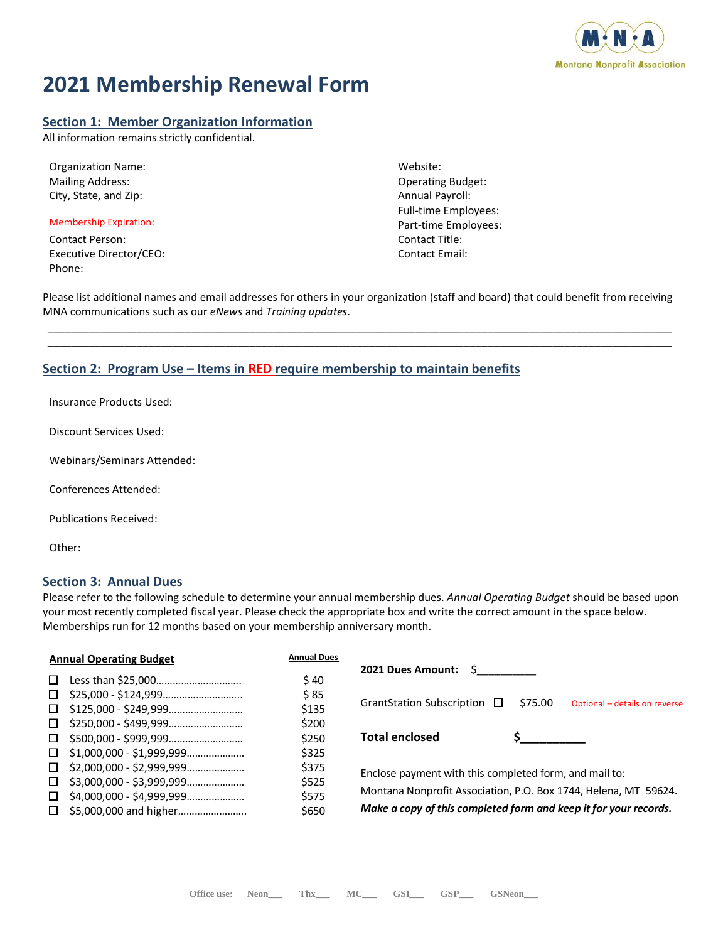

# **2021 Membership Renewal Form**

### **Section 1: Member Organization Information**

All information remains strictly confidential.

| <b>Organization Name:</b> |
|---------------------------|
| <b>Mailing Address:</b>   |
| City, State, and Zip:     |

#### Membership Expiration:

Contact Person: Contact Title: Executive Director/CEO: Contact Email: Contact Email: Phone:

Website: Operating Budget: Annual Payroll: Full-time Employees: Part-time Employees:

Please list additional names and email addresses for others in your organization (staff and board) that could benefit from receiving MNA communications such as our *eNews* and *Training updates*. \_\_\_\_\_\_\_\_\_\_\_\_\_\_\_\_\_\_\_\_\_\_\_\_\_\_\_\_\_\_\_\_\_\_\_\_\_\_\_\_\_\_\_\_\_\_\_\_\_\_\_\_\_\_\_\_\_\_\_\_\_\_\_\_\_\_\_\_\_\_\_\_\_\_\_\_\_\_\_\_\_\_\_\_\_\_\_\_\_\_\_\_\_\_\_\_\_\_\_\_\_\_\_\_\_

\_\_\_\_\_\_\_\_\_\_\_\_\_\_\_\_\_\_\_\_\_\_\_\_\_\_\_\_\_\_\_\_\_\_\_\_\_\_\_\_\_\_\_\_\_\_\_\_\_\_\_\_\_\_\_\_\_\_\_\_\_\_\_\_\_\_\_\_\_\_\_\_\_\_\_\_\_\_\_\_\_\_\_\_\_\_\_\_\_\_\_\_\_\_\_\_\_\_\_\_\_\_\_\_\_

### **Section 2: Program Use – Items in RED require membership to maintain benefits**

Insurance Products Used:

Discount Services Used:

Webinars/Seminars Attended:

Conferences Attended:

Publications Received:

Other:

### **Section 3: Annual Dues**

Please refer to the following schedule to determine your annual membership dues. *Annual Operating Budget* should be based upon your most recently completed fiscal year. Please check the appropriate box and write the correct amount in the space below. Memberships run for 12 months based on your membership anniversary month.

|                           | <b>Annual Dues</b>                                                                                                       |                                                                                                                                                                                               |
|---------------------------|--------------------------------------------------------------------------------------------------------------------------|-----------------------------------------------------------------------------------------------------------------------------------------------------------------------------------------------|
| Less than \$25,000        | \$40                                                                                                                     | $2021$ Dues Amount: $\zeta$                                                                                                                                                                   |
|                           | \$85                                                                                                                     | GrantStation Subscription $\Box$<br>\$75.00<br>Optional - details on reverse                                                                                                                  |
|                           | \$135                                                                                                                    |                                                                                                                                                                                               |
|                           | \$200                                                                                                                    |                                                                                                                                                                                               |
| \$500,000 - \$999,999     | \$250                                                                                                                    | <b>Total enclosed</b>                                                                                                                                                                         |
|                           | \$325                                                                                                                    |                                                                                                                                                                                               |
|                           | \$375                                                                                                                    | Enclose payment with this completed form, and mail to:<br>Montana Nonprofit Association, P.O. Box 1744, Helena, MT 59624.<br>Make a copy of this completed form and keep it for your records. |
|                           | \$525                                                                                                                    |                                                                                                                                                                                               |
| \$4,000,000 - \$4,999,999 | \$575                                                                                                                    |                                                                                                                                                                                               |
| \$5,000,000 and higher    | \$650                                                                                                                    |                                                                                                                                                                                               |
|                           | <b>Annual Operating Budget</b><br>$\Box$<br>$\Box$<br>$\Box$<br>$\Box$<br>$\Box$<br>$\Box$<br>$\Box$<br>$\Box$<br>$\Box$ |                                                                                                                                                                                               |